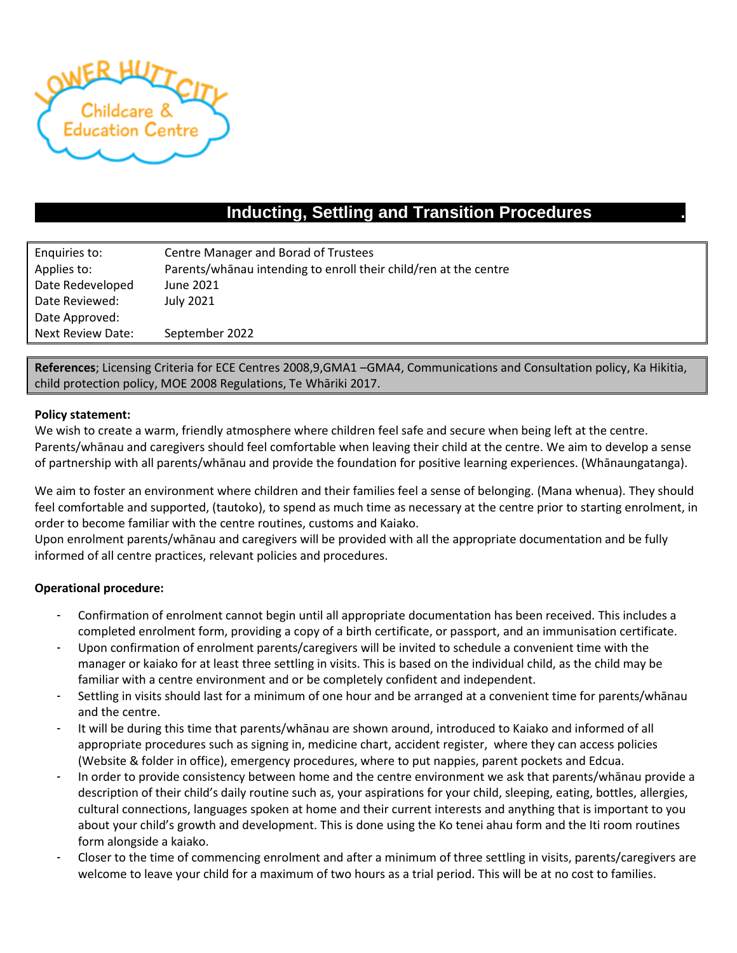

# **Inducting, Settling and Transition Procedures .**

| Enquiries to:     | Centre Manager and Borad of Trustees                             |  |  |
|-------------------|------------------------------------------------------------------|--|--|
| Applies to:       | Parents/whanau intending to enroll their child/ren at the centre |  |  |
| Date Redeveloped  | June 2021                                                        |  |  |
| Date Reviewed:    | July 2021                                                        |  |  |
| Date Approved:    |                                                                  |  |  |
| Next Review Date: | September 2022                                                   |  |  |

**References**; Licensing Criteria for ECE Centres 2008,9,GMA1 –GMA4, Communications and Consultation policy, Ka Hikitia, child protection policy, MOE 2008 Regulations, Te Whāriki 2017.

#### **Policy statement:**

We wish to create a warm, friendly atmosphere where children feel safe and secure when being left at the centre. Parents/whānau and caregivers should feel comfortable when leaving their child at the centre. We aim to develop a sense of partnership with all parents/whānau and provide the foundation for positive learning experiences. (Whānaungatanga).

We aim to foster an environment where children and their families feel a sense of belonging. (Mana whenua). They should feel comfortable and supported, (tautoko), to spend as much time as necessary at the centre prior to starting enrolment, in order to become familiar with the centre routines, customs and Kaiako.

Upon enrolment parents/whānau and caregivers will be provided with all the appropriate documentation and be fully informed of all centre practices, relevant policies and procedures.

## **Operational procedure:**

- Confirmation of enrolment cannot begin until all appropriate documentation has been received. This includes a completed enrolment form, providing a copy of a birth certificate, or passport, and an immunisation certificate.
- Upon confirmation of enrolment parents/caregivers will be invited to schedule a convenient time with the manager or kaiako for at least three settling in visits. This is based on the individual child, as the child may be familiar with a centre environment and or be completely confident and independent.
- Settling in visits should last for a minimum of one hour and be arranged at a convenient time for parents/whānau and the centre.
- It will be during this time that parents/whānau are shown around, introduced to Kaiako and informed of all appropriate procedures such as signing in, medicine chart, accident register, where they can access policies (Website & folder in office), emergency procedures, where to put nappies, parent pockets and Edcua.
- In order to provide consistency between home and the centre environment we ask that parents/whānau provide a description of their child's daily routine such as, your aspirations for your child, sleeping, eating, bottles, allergies, cultural connections, languages spoken at home and their current interests and anything that is important to you about your child's growth and development. This is done using the Ko tenei ahau form and the Iti room routines form alongside a kaiako.
- Closer to the time of commencing enrolment and after a minimum of three settling in visits, parents/caregivers are welcome to leave your child for a maximum of two hours as a trial period. This will be at no cost to families.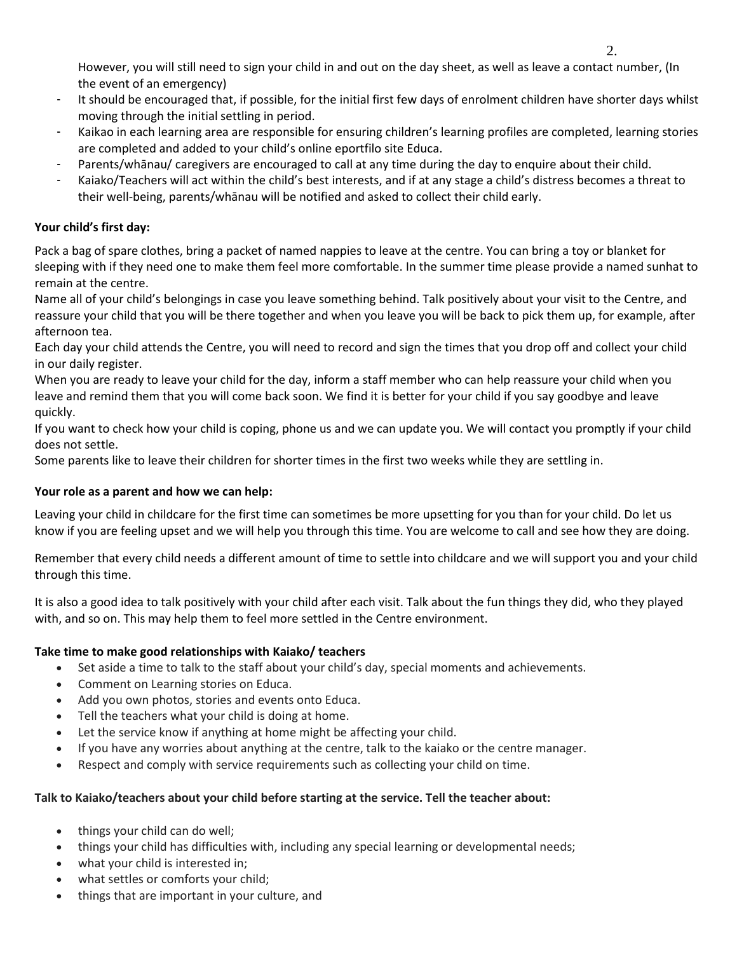However, you will still need to sign your child in and out on the day sheet, as well as leave a contact number, (In the event of an emergency)

- It should be encouraged that, if possible, for the initial first few days of enrolment children have shorter days whilst moving through the initial settling in period.
- Kaikao in each learning area are responsible for ensuring children's learning profiles are completed, learning stories are completed and added to your child's online eportfilo site Educa.
- Parents/whānau/ caregivers are encouraged to call at any time during the day to enquire about their child.
- Kaiako/Teachers will act within the child's best interests, and if at any stage a child's distress becomes a threat to their well-being, parents/whānau will be notified and asked to collect their child early.

# **Your child's first day:**

Pack a bag of spare clothes, bring a packet of named nappies to leave at the centre. You can bring a toy or blanket for sleeping with if they need one to make them feel more comfortable. In the summer time please provide a named sunhat to remain at the centre.

Name all of your child's belongings in case you leave something behind. Talk positively about your visit to the Centre, and reassure your child that you will be there together and when you leave you will be back to pick them up, for example, after afternoon tea.

Each day your child attends the Centre, you will need to record and sign the times that you drop off and collect your child in our daily register.

When you are ready to leave your child for the day, inform a staff member who can help reassure your child when you leave and remind them that you will come back soon. We find it is better for your child if you say goodbye and leave quickly.

If you want to check how your child is coping, phone us and we can update you. We will contact you promptly if your child does not settle.

Some parents like to leave their children for shorter times in the first two weeks while they are settling in.

## **Your role as a parent and how we can help:**

Leaving your child in childcare for the first time can sometimes be more upsetting for you than for your child. Do let us know if you are feeling upset and we will help you through this time. You are welcome to call and see how they are doing.

Remember that every child needs a different amount of time to settle into childcare and we will support you and your child through this time.

It is also a good idea to talk positively with your child after each visit. Talk about the fun things they did, who they played with, and so on. This may help them to feel more settled in the Centre environment.

## **Take time to make good relationships with Kaiako/ teachers**

- Set aside a time to talk to the staff about your child's day, special moments and achievements.
- Comment on Learning stories on Educa.
- Add you own photos, stories and events onto Educa.
- Tell the teachers what your child is doing at home.
- Let the service know if anything at home might be affecting your child.
- If you have any worries about anything at the centre, talk to the kaiako or the centre manager.
- Respect and comply with service requirements such as collecting your child on time.

## **Talk to Kaiako/teachers about your child before starting at the service. Tell the teacher about:**

- things your child can do well;
- things your child has difficulties with, including any special learning or developmental needs;
- what your child is interested in;
- what settles or comforts your child;
- things that are important in your culture, and